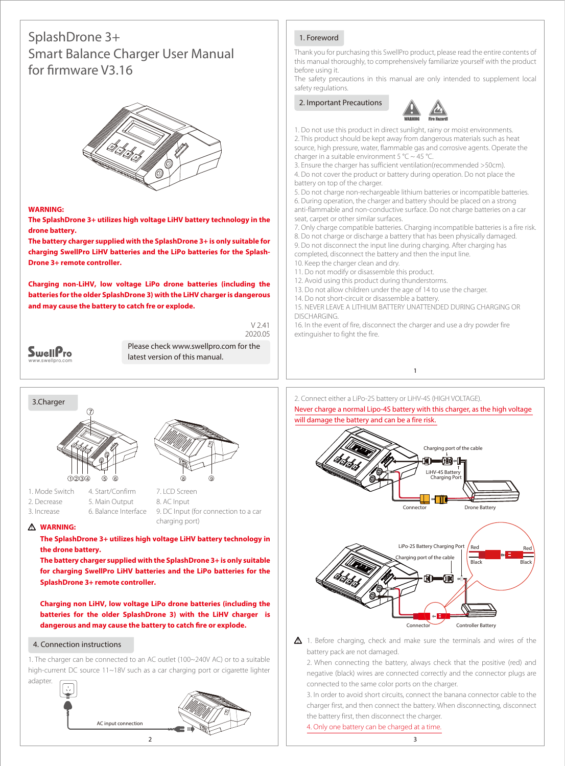# SplashDrone 3+ Smart Balance Charger User Manual for firmware V3.16



#### **WARNING:**

**The SplashDrone 3+ utilizes high voltage LiHV battery technology in the drone battery.** 

**The battery charger supplied with the SplashDrone 3+ is only suitable for charging SwellPro LiHV batteries and the LiPo batteries for the Splash-Drone 3+ remote controller.**

**Charging non-LiHV, low voltage LiPo drone batteries (including the batteries for the older SplashDrone 3) with the LiHV charger is dangerous and may cause the battery to catch fre or explode.**

| wellP            |
|------------------|
| www.swellpro.com |

Please check www.swellpro.com for the latest version of this manual.

 $V$  241 2020.05



2. Decrease 3. Increase 5. Main Output 6. Balance Interface

7. LCD Screen 8. AC Input 9. DC Input (for connection to a car charging port)

#### **WARNING:**

**The SplashDrone 3+ utilizes high voltage LiHV battery technology in the drone battery.** 

**The battery charger supplied with the SplashDrone 3+ is only suitable for charging SwellPro LiHV batteries and the LiPo batteries for the SplashDrone 3+ remote controller.**

**Charging non LiHV, low voltage LiPo drone batteries (including the batteries for the older SplashDrone 3) with the LiHV charger is**  dangerous and may cause the battery to catch fire or explode.

#### 4. Connection instructions

1. The charger can be connected to an AC outlet (100~240V AC) or to a suitable high-current DC source 11~18V such as a car charging port or cigarette lighter adapter.



### 1. Foreword

Thank you for purchasing this SwellPro product, please read the entire contents of this manual thoroughly, to comprehensively familiarize yourself with the product before using it.

The safety precautions in this manual are only intended to supplement local safety regulations.

## 2. Important Precautions



1. Do not use this product in direct sunlight, rainy or moist environments. 2. This product should be kept away from dangerous materials such as heat source, high pressure, water, flammable gas and corrosive agents. Operate the charger in a suitable environment 5 °C ~ 45 °C.

3. Ensure the charger has sufficient ventilation(recommended >50cm). 4. Do not cover the product or battery during operation. Do not place the battery on top of the charger.

5. Do not charge non-rechargeable lithium batteries or incompatible batteries. 6. During operation, the charger and battery should be placed on a strong anti-flammable and non-conductive surface. Do not charge batteries on a car seat, carpet or other similar surfaces.

7. Only charge compatible batteries. Charging incompatible batteries is a fire risk.

- 8. Do not charge or discharge a battery that has been physically damaged. 9. Do not disconnect the input line during charging. After charging has
- completed, disconnect the battery and then the input line.
- 10. Keep the charger clean and dry.
- 11. Do not modify or disassemble this product.
- 12. Avoid using this product during thunderstorms.
- 13. Do not allow children under the age of 14 to use the charger.
- 14. Do not short-circuit or disassemble a battery.

15. NEVER LEAVE A LITHIUM BATTERY UNATTENDED DURING CHARGING OR DISCHARGING.

16. In the event of fire, disconnect the charger and use a dry powder fire extinguisher to fight the fire.

2. Connect either a LiPo-2S battery or LiHV-4S (HIGH VOLTAGE). Never charge a normal Lipo-4S battery with this charger, as the high voltage will damage the battery and can be a fire risk.

1



 $\Delta$  1. Before charging, check and make sure the terminals and wires of the battery pack are not damaged.

2. When connecting the battery, always check that the positive (red) and negative (black) wires are connected correctly and the connector plugs are connected to the same color ports on the charger.

3. In order to avoid short circuits, connect the banana connector cable to the charger first, and then connect the battery. When disconnecting, disconnect the battery first, then disconnect the charger.

4. Only one battery can be charged at a time.

3